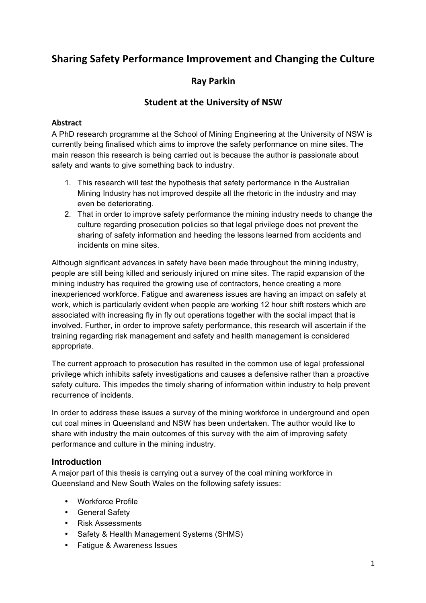# **Sharing Safety Performance Improvement and Changing the Culture**

### **Ray Parkin**

### **Student at the University of NSW**

## $\blacksquare$  Abstract  $\blacksquare$   $\blacksquare$   $\blacksquare$   $\blacksquare$   $\blacksquare$   $\blacksquare$   $\blacksquare$   $\blacksquare$   $\blacksquare$   $\blacksquare$   $\blacksquare$   $\blacksquare$   $\blacksquare$   $\blacksquare$   $\blacksquare$   $\blacksquare$   $\blacksquare$   $\blacksquare$   $\blacksquare$   $\blacksquare$   $\blacksquare$   $\blacksquare$   $\blacksquare$   $\blacksquare$   $\blacksquare$   $\blacksquare$   $\blacksquare$   $\blacksquare$   $\blacksquare$   $\$

A PhD research programme at the School of Mining Engineering at the University of NSW is currently being finalised which aims to improve the safety performance on mine sites. The main reason this research is being carried out is because the author is passionate about safety and wants to give something back to industry.

- 1. This research will test the hypothesis that safety performance in the Australian Mining Industry has not improved despite all the rhetoric in the industry and may even be deteriorating.
- 2. That in order to improve safety performance the mining industry needs to change the culture regarding prosecution policies so that legal privilege does not prevent the sharing of safety information and heeding the lessons learned from accidents and incidents on mine sites.

Although significant advances in safety have been made throughout the mining industry, people are still being killed and seriously injured on mine sites. The rapid expansion of the mining industry has required the growing use of contractors, hence creating a more inexperienced workforce. Fatigue and awareness issues are having an impact on safety at work, which is particularly evident when people are working 12 hour shift rosters which are associated with increasing fly in fly out operations together with the social impact that is involved. Further, in order to improve safety performance, this research will ascertain if the training regarding risk management and safety and health management is considered appropriate.

The current approach to prosecution has resulted in the common use of legal professional privilege which inhibits safety investigations and causes a defensive rather than a proactive safety culture. This impedes the timely sharing of information within industry to help prevent recurrence of incidents.

In order to address these issues a survey of the mining workforce in underground and open cut coal mines in Queensland and NSW has been undertaken. The author would like to share with industry the main outcomes of this survey with the aim of improving safety performance and culture in the mining industry.

### **Introduction**

A major part of this thesis is carrying out a survey of the coal mining workforce in Queensland and New South Wales on the following safety issues:

- Workforce Profile
- General Safety
- Risk Assessments
- Safety & Health Management Systems (SHMS)
- Fatigue & Awareness Issues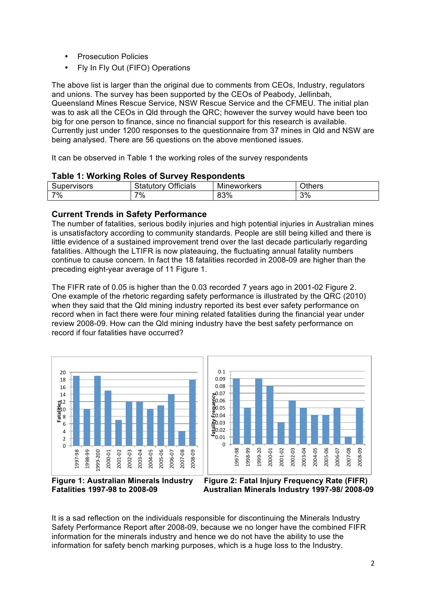- Prosecution Policies
- Fly In Fly Out (FIFO) Operations

The above list is larger than the original due to comments from CEOs, Industry, regulators and unions. The survey has been supported by the CEOs of Peabody, Jellinbah, Queensland Mines Rescue Service, NSW Rescue Service and the CFMEU. The initial plan was to ask all the CEOs in Qld through the QRC; however the survey would have been too big for one person to finance, since no financial support for this research is available. Currently just under 1200 responses to the questionnaire from 37 mines in Qld and NSW are being analysed. There are 56 questions on the above mentioned issues.

It can be observed in Table 1 the working roles of the survey respondents

| <b>Table 1: Working Roles of Survey Respondents</b> |  |  |  |  |  |
|-----------------------------------------------------|--|--|--|--|--|
|-----------------------------------------------------|--|--|--|--|--|

| <b>Supervisors</b> | Officials<br>Statutory | Mineworkers | <b>Others</b> |
|--------------------|------------------------|-------------|---------------|
| 7%                 | 7%                     | 83%         | 3%            |

#### **Current Trends in Safety Performance**

The number of fatalities, serious bodily injuries and high potential injuries in Australian mines is unsatisfactory according to community standards. People are still being killed and there is little evidence of a sustained improvement trend over the last decade particularly regarding fatalities. Although the LTIFR is now plateauing, the fluctuating annual fatality numbers continue to cause concern. In fact the 18 fatalities recorded in 2008-09 are higher than the preceding eight-year average of 11 Figure 1.

The FIFR rate of 0.05 is higher than the 0.03 recorded 7 years ago in 2001-02 Figure 2. One example of the rhetoric regarding safety performance is illustrated by the QRC (2010) when they said that the Qld mining industry reported its best ever safety performance on record when in fact there were four mining related fatalities during the financial year under review 2008-09. How can the Qld mining industry have the best safety performance on record if four fatalities have occurred?





 **Figure 1: Australian Minerals Industry Figure 2: Fatal Injury Frequency Rate (FIFR) Fatalities 1997-98 to 2008-09 Australian Minerals Industry 1997-98/ 2008-09**

It is a sad reflection on the individuals responsible for discontinuing the Minerals Industry Safety Performance Report after 2008-09, because we no longer have the combined FIFR information for the minerals industry and hence we do not have the ability to use the information for safety bench marking purposes, which is a huge loss to the Industry.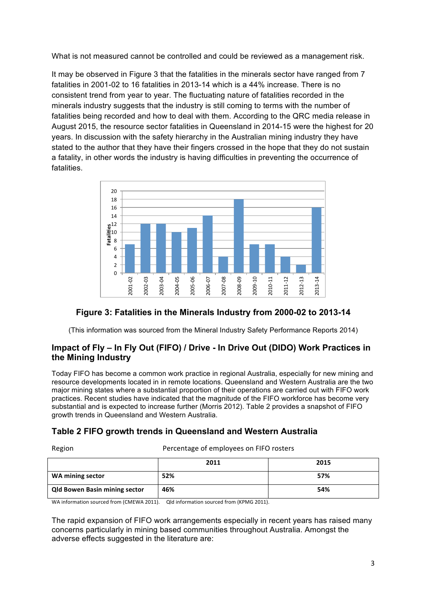What is not measured cannot be controlled and could be reviewed as a management risk.

It may be observed in Figure 3 that the fatalities in the minerals sector have ranged from 7 fatalities in 2001-02 to 16 fatalities in 2013-14 which is a 44% increase. There is no consistent trend from year to year. The fluctuating nature of fatalities recorded in the minerals industry suggests that the industry is still coming to terms with the number of fatalities being recorded and how to deal with them. According to the QRC media release in August 2015, the resource sector fatalities in Queensland in 2014-15 were the highest for 20 years. In discussion with the safety hierarchy in the Australian mining industry they have stated to the author that they have their fingers crossed in the hope that they do not sustain a fatality, in other words the industry is having difficulties in preventing the occurrence of fatalities.



### **Figure 3: Fatalities in the Minerals Industry from 2000-02 to 2013-14**

(This information was sourced from the Mineral Industry Safety Performance Reports 2014)

### **Impact of Fly – In Fly Out (FIFO) / Drive - In Drive Out (DIDO) Work Practices in the Mining Industry**

Today FIFO has become a common work practice in regional Australia, especially for new mining and resource developments located in in remote locations. Queensland and Western Australia are the two major mining states where a substantial proportion of their operations are carried out with FIFO work practices. Recent studies have indicated that the magnitude of the FIFO workforce has become very substantial and is expected to increase further (Morris 2012). Table 2 provides a snapshot of FIFO growth trends in Queensland and Western Australia.

### **Table 2 FIFO growth trends in Queensland and Western Australia**

Region Percentage of employees on FIFO rosters 

|                                      | 2011 | 2015 |
|--------------------------------------|------|------|
| WA mining sector                     | 52%  | 57%  |
| <b>Qld Bowen Basin mining sector</b> | 46%  | 54%  |

WA information sourced from (CMEWA 2011). Qld information sourced from (KPMG 2011).

The rapid expansion of FIFO work arrangements especially in recent years has raised many concerns particularly in mining based communities throughout Australia. Amongst the adverse effects suggested in the literature are: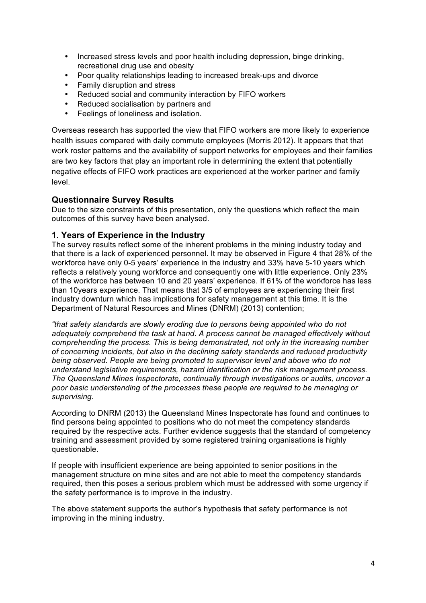- Increased stress levels and poor health including depression, binge drinking, recreational drug use and obesity
- Poor quality relationships leading to increased break-ups and divorce<br>• Family disruption and stress
- Family disruption and stress
- Reduced social and community interaction by FIFO workers<br>• Reduced socialisation by partners and
- Reduced socialisation by partners and
- Feelings of loneliness and isolation.

Overseas research has supported the view that FIFO workers are more likely to experience health issues compared with daily commute employees (Morris 2012). It appears that that work roster patterns and the availability of support networks for employees and their families are two key factors that play an important role in determining the extent that potentially negative effects of FIFO work practices are experienced at the worker partner and family level.

#### **Questionnaire Survey Results**

Due to the size constraints of this presentation, only the questions which reflect the main outcomes of this survey have been analysed.

### **1. Years of Experience in the Industry**

The survey results reflect some of the inherent problems in the mining industry today and that there is a lack of experienced personnel. It may be observed in Figure 4 that 28% of the workforce have only 0-5 years' experience in the industry and 33% have 5-10 years which reflects a relatively young workforce and consequently one with little experience. Only 23% of the workforce has between 10 and 20 years' experience. If 61% of the workforce has less than 10years experience. That means that 3/5 of employees are experiencing their first industry downturn which has implications for safety management at this time. It is the Department of Natural Resources and Mines (DNRM) (2013) contention;

*"that safety standards are slowly eroding due to persons being appointed who do not adequately comprehend the task at hand. A process cannot be managed effectively without comprehending the process. This is being demonstrated, not only in the increasing number of concerning incidents, but also in the declining safety standards and reduced productivity being observed. People are being promoted to supervisor level and above who do not understand legislative requirements, hazard identification or the risk management process. The Queensland Mines Inspectorate, continually through investigations or audits, uncover a poor basic understanding of the processes these people are required to be managing or supervising.*

According to DNRM (2013) the Queensland Mines Inspectorate has found and continues to find persons being appointed to positions who do not meet the competency standards required by the respective acts. Further evidence suggests that the standard of competency training and assessment provided by some registered training organisations is highly questionable.

If people with insufficient experience are being appointed to senior positions in the management structure on mine sites and are not able to meet the competency standards required, then this poses a serious problem which must be addressed with some urgency if the safety performance is to improve in the industry.

The above statement supports the author's hypothesis that safety performance is not improving in the mining industry.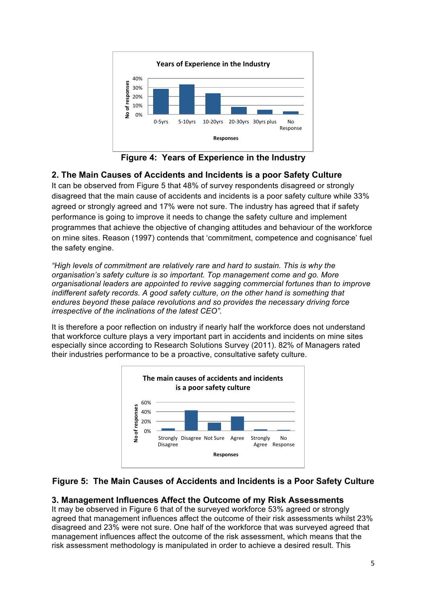

 **Figure 4: Years of Experience in the Industry**

### **2. The Main Causes of Accidents and Incidents is a poor Safety Culture**

It can be observed from Figure 5 that 48% of survey respondents disagreed or strongly disagreed that the main cause of accidents and incidents is a poor safety culture while 33% agreed or strongly agreed and 17% were not sure. The industry has agreed that if safety performance is going to improve it needs to change the safety culture and implement programmes that achieve the objective of changing attitudes and behaviour of the workforce on mine sites. Reason (1997) contends that 'commitment, competence and cognisance' fuel the safety engine.

*"High levels of commitment are relatively rare and hard to sustain. This is why the organisation's safety culture is so important. Top management come and go. More organisational leaders are appointed to revive sagging commercial fortunes than to improve indifferent safety records. A good safety culture, on the other hand is something that endures beyond these palace revolutions and so provides the necessary driving force irrespective of the inclinations of the latest CEO".* 

It is therefore a poor reflection on industry if nearly half the workforce does not understand that workforce culture plays a very important part in accidents and incidents on mine sites especially since according to Research Solutions Survey (2011). 82% of Managers rated their industries performance to be a proactive, consultative safety culture.



### **Figure 5: The Main Causes of Accidents and Incidents is a Poor Safety Culture**

### **3. Management Influences Affect the Outcome of my Risk Assessments**

It may be observed in Figure 6 that of the surveyed workforce 53% agreed or strongly agreed that management influences affect the outcome of their risk assessments whilst 23% disagreed and 23% were not sure. One half of the workforce that was surveyed agreed that management influences affect the outcome of the risk assessment, which means that the risk assessment methodology is manipulated in order to achieve a desired result. This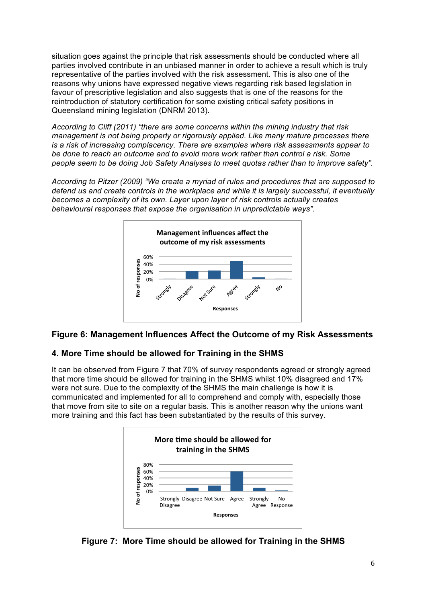situation goes against the principle that risk assessments should be conducted where all parties involved contribute in an unbiased manner in order to achieve a result which is truly representative of the parties involved with the risk assessment. This is also one of the reasons why unions have expressed negative views regarding risk based legislation in favour of prescriptive legislation and also suggests that is one of the reasons for the reintroduction of statutory certification for some existing critical safety positions in Queensland mining legislation (DNRM 2013).

*According to Cliff (2011) "there are some concerns within the mining industry that risk management is not being properly or rigorously applied. Like many mature processes there is a risk of increasing complacency. There are examples where risk assessments appear to be done to reach an outcome and to avoid more work rather than control a risk. Some people seem to be doing Job Safety Analyses to meet quotas rather than to improve safety".*

*According to Pitzer (2009) "We create a myriad of rules and procedures that are supposed to defend us and create controls in the workplace and while it is largely successful, it eventually becomes a complexity of its own. Layer upon layer of risk controls actually creates behavioural responses that expose the organisation in unpredictable ways".*



### **Figure 6: Management Influences Affect the Outcome of my Risk Assessments**

### **4. More Time should be allowed for Training in the SHMS**

It can be observed from Figure 7 that 70% of survey respondents agreed or strongly agreed that more time should be allowed for training in the SHMS whilst 10% disagreed and 17% were not sure. Due to the complexity of the SHMS the main challenge is how it is communicated and implemented for all to comprehend and comply with, especially those that move from site to site on a regular basis. This is another reason why the unions want more training and this fact has been substantiated by the results of this survey.



**Figure 7: More Time should be allowed for Training in the SHMS**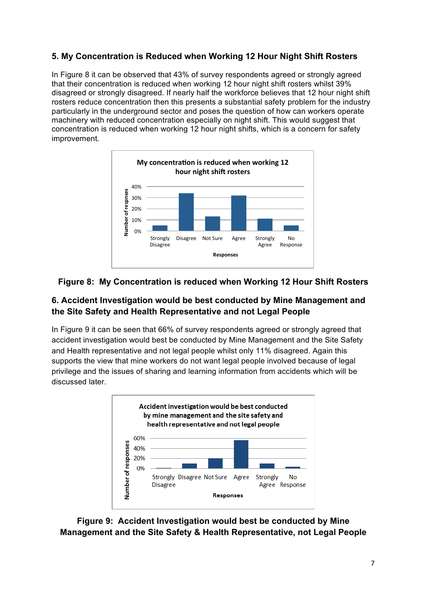### **5. My Concentration is Reduced when Working 12 Hour Night Shift Rosters**

In Figure 8 it can be observed that 43% of survey respondents agreed or strongly agreed that their concentration is reduced when working 12 hour night shift rosters whilst 39% disagreed or strongly disagreed. If nearly half the workforce believes that 12 hour night shift rosters reduce concentration then this presents a substantial safety problem for the industry particularly in the underground sector and poses the question of how can workers operate machinery with reduced concentration especially on night shift. This would suggest that concentration is reduced when working 12 hour night shifts, which is a concern for safety improvement. 



### **Figure 8: My Concentration is reduced when Working 12 Hour Shift Rosters**

### **6. Accident Investigation would be best conducted by Mine Management and the Site Safety and Health Representative and not Legal People**

In Figure 9 it can be seen that 66% of survey respondents agreed or strongly agreed that accident investigation would best be conducted by Mine Management and the Site Safety and Health representative and not legal people whilst only 11% disagreed. Again this supports the view that mine workers do not want legal people involved because of legal privilege and the issues of sharing and learning information from accidents which will be discussed later.



**Figure 9: Accident Investigation would best be conducted by Mine Management and the Site Safety & Health Representative, not Legal People**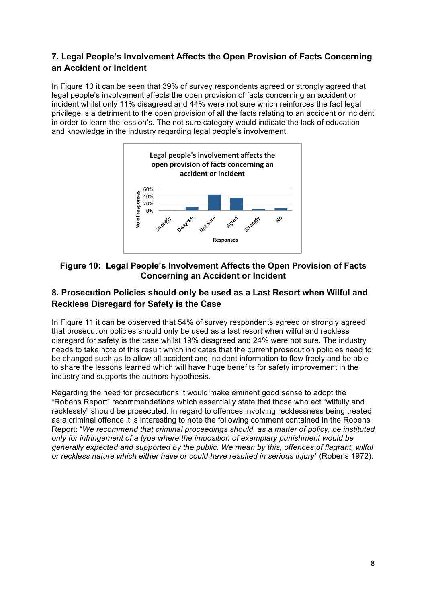### **7. Legal People's Involvement Affects the Open Provision of Facts Concerning an Accident or Incident**

In Figure 10 it can be seen that 39% of survey respondents agreed or strongly agreed that legal people's involvement affects the open provision of facts concerning an accident or incident whilst only 11% disagreed and 44% were not sure which reinforces the fact legal privilege is a detriment to the open provision of all the facts relating to an accident or incident in order to learn the lession's. The not sure category would indicate the lack of education and knowledge in the industry regarding legal people's involvement.



### **Figure 10: Legal People's Involvement Affects the Open Provision of Facts Concerning an Accident or Incident**

### **8. Prosecution Policies should only be used as a Last Resort when Wilful and Reckless Disregard for Safety is the Case**

In Figure 11 it can be observed that 54% of survey respondents agreed or strongly agreed that prosecution policies should only be used as a last resort when wilful and reckless disregard for safety is the case whilst 19% disagreed and 24% were not sure. The industry needs to take note of this result which indicates that the current prosecution policies need to be changed such as to allow all accident and incident information to flow freely and be able to share the lessons learned which will have huge benefits for safety improvement in the industry and supports the authors hypothesis.

Regarding the need for prosecutions it would make eminent good sense to adopt the "Robens Report" recommendations which essentially state that those who act "wilfully and recklessly" should be prosecuted. In regard to offences involving recklessness being treated as a criminal offence it is interesting to note the following comment contained in the Robens Report: "*We recommend that criminal proceedings should, as a matter of policy, be instituted only for infringement of a type where the imposition of exemplary punishment would be generally expected and supported by the public. We mean by this, offences of flagrant, wilful or reckless nature which either have or could have resulted in serious injury"* (Robens 1972).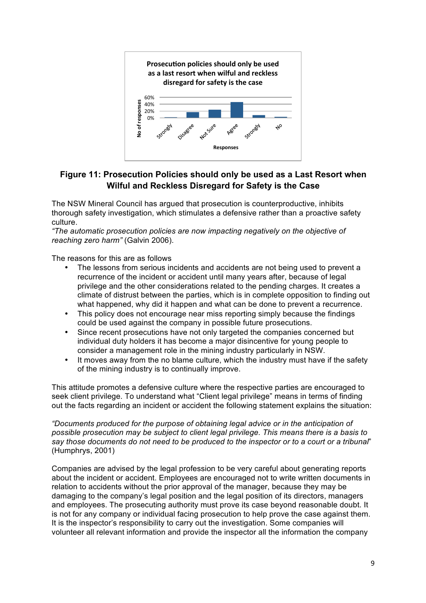

### **Figure 11: Prosecution Policies should only be used as a Last Resort when Wilful and Reckless Disregard for Safety is the Case**

The NSW Mineral Council has argued that prosecution is counterproductive, inhibits thorough safety investigation, which stimulates a defensive rather than a proactive safety culture.

*"The automatic prosecution policies are now impacting negatively on the objective of reaching zero harm"* (Galvin 2006).

The reasons for this are as follows

- The lessons from serious incidents and accidents are not being used to prevent a recurrence of the incident or accident until many years after, because of legal privilege and the other considerations related to the pending charges. It creates a climate of distrust between the parties, which is in complete opposition to finding out what happened, why did it happen and what can be done to prevent a recurrence.
- This policy does not encourage near miss reporting simply because the findings could be used against the company in possible future prosecutions.
- Since recent prosecutions have not only targeted the companies concerned but individual duty holders it has become a major disincentive for young people to consider a management role in the mining industry particularly in NSW.
- It moves away from the no blame culture, which the industry must have if the safety of the mining industry is to continually improve.

This attitude promotes a defensive culture where the respective parties are encouraged to seek client privilege. To understand what "Client legal privilege" means in terms of finding out the facts regarding an incident or accident the following statement explains the situation:

*"Documents produced for the purpose of obtaining legal advice or in the anticipation of possible prosecution may be subject to client legal privilege. This means there is a basis to say those documents do not need to be produced to the inspector or to a court or a tribunal*" (Humphrys, 2001)

Companies are advised by the legal profession to be very careful about generating reports about the incident or accident. Employees are encouraged not to write written documents in relation to accidents without the prior approval of the manager, because they may be damaging to the company's legal position and the legal position of its directors, managers and employees. The prosecuting authority must prove its case beyond reasonable doubt. It is not for any company or individual facing prosecution to help prove the case against them. It is the inspector's responsibility to carry out the investigation. Some companies will volunteer all relevant information and provide the inspector all the information the company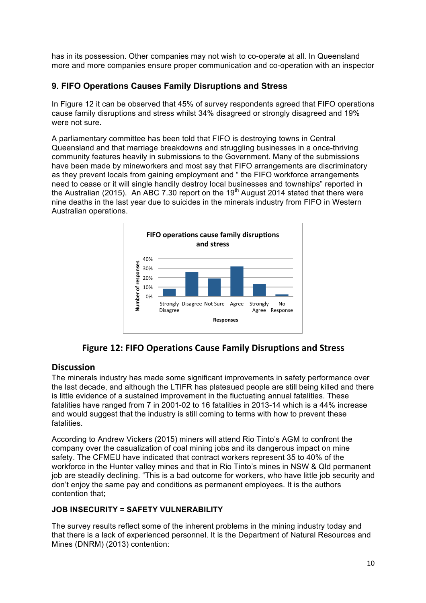has in its possession. Other companies may not wish to co-operate at all. In Queensland more and more companies ensure proper communication and co-operation with an inspector

### **9. FIFO Operations Causes Family Disruptions and Stress**

In Figure 12 it can be observed that 45% of survey respondents agreed that FIFO operations cause family disruptions and stress whilst 34% disagreed or strongly disagreed and 19% were not sure.

A parliamentary committee has been told that FIFO is destroying towns in Central Queensland and that marriage breakdowns and struggling businesses in a once-thriving community features heavily in submissions to the Government. Many of the submissions have been made by mineworkers and most say that FIFO arrangements are discriminatory as they prevent locals from gaining employment and " the FIFO workforce arrangements need to cease or it will single handily destroy local businesses and townships" reported in the Australian (2015). An ABC 7.30 report on the 19<sup>th</sup> August 2014 stated that there were nine deaths in the last year due to suicides in the minerals industry from FIFO in Western Australian operations.



**Figure 12: FIFO Operations Cause Family Disruptions and Stress** 

### Discussion

The minerals industry has made some significant improvements in safety performance over the last decade, and although the LTIFR has plateaued people are still being killed and there is little evidence of a sustained improvement in the fluctuating annual fatalities. These fatalities have ranged from 7 in 2001-02 to 16 fatalities in 2013-14 which is a 44% increase and would suggest that the industry is still coming to terms with how to prevent these fatalities.

According to Andrew Vickers (2015) miners will attend Rio Tinto's AGM to confront the company over the casualization of coal mining jobs and its dangerous impact on mine safety. The CFMEU have indicated that contract workers represent 35 to 40% of the workforce in the Hunter valley mines and that in Rio Tinto's mines in NSW & Qld permanent job are steadily declining. "This is a bad outcome for workers, who have little job security and don't enjoy the same pay and conditions as permanent employees. It is the authors contention that;

#### **JOB INSECURITY = SAFETY VULNERABILITY**

The survey results reflect some of the inherent problems in the mining industry today and that there is a lack of experienced personnel. It is the Department of Natural Resources and Mines (DNRM) (2013) contention: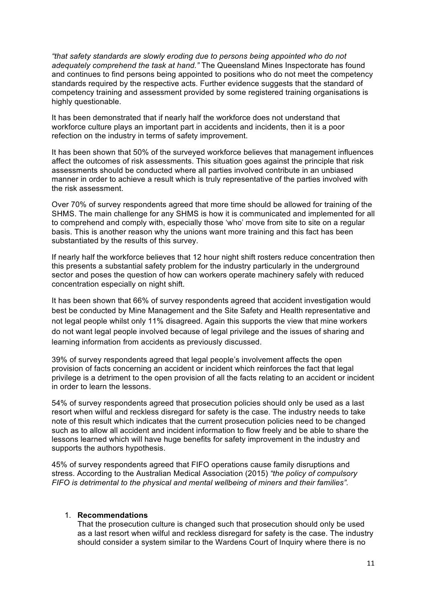*"that safety standards are slowly eroding due to persons being appointed who do not adequately comprehend the task at hand."* The Queensland Mines Inspectorate has found and continues to find persons being appointed to positions who do not meet the competency standards required by the respective acts. Further evidence suggests that the standard of competency training and assessment provided by some registered training organisations is highly questionable.

It has been demonstrated that if nearly half the workforce does not understand that workforce culture plays an important part in accidents and incidents, then it is a poor refection on the industry in terms of safety improvement.

It has been shown that 50% of the surveyed workforce believes that management influences affect the outcomes of risk assessments. This situation goes against the principle that risk assessments should be conducted where all parties involved contribute in an unbiased manner in order to achieve a result which is truly representative of the parties involved with the risk assessment.

Over 70% of survey respondents agreed that more time should be allowed for training of the SHMS. The main challenge for any SHMS is how it is communicated and implemented for all to comprehend and comply with, especially those 'who' move from site to site on a regular basis. This is another reason why the unions want more training and this fact has been substantiated by the results of this survey.

If nearly half the workforce believes that 12 hour night shift rosters reduce concentration then this presents a substantial safety problem for the industry particularly in the underground sector and poses the question of how can workers operate machinery safely with reduced concentration especially on night shift.

It has been shown that 66% of survey respondents agreed that accident investigation would best be conducted by Mine Management and the Site Safety and Health representative and not legal people whilst only 11% disagreed. Again this supports the view that mine workers do not want legal people involved because of legal privilege and the issues of sharing and learning information from accidents as previously discussed.

39% of survey respondents agreed that legal people's involvement affects the open provision of facts concerning an accident or incident which reinforces the fact that legal privilege is a detriment to the open provision of all the facts relating to an accident or incident in order to learn the lessons.

54% of survey respondents agreed that prosecution policies should only be used as a last resort when wilful and reckless disregard for safety is the case. The industry needs to take note of this result which indicates that the current prosecution policies need to be changed such as to allow all accident and incident information to flow freely and be able to share the lessons learned which will have huge benefits for safety improvement in the industry and supports the authors hypothesis.

45% of survey respondents agreed that FIFO operations cause family disruptions and stress. According to the Australian Medical Association (2015) *"the policy of compulsory FIFO is detrimental to the physical and mental wellbeing of miners and their families".* 

#### 1. **Recommendations**

That the prosecution culture is changed such that prosecution should only be used as a last resort when wilful and reckless disregard for safety is the case. The industry should consider a system similar to the Wardens Court of Inquiry where there is no